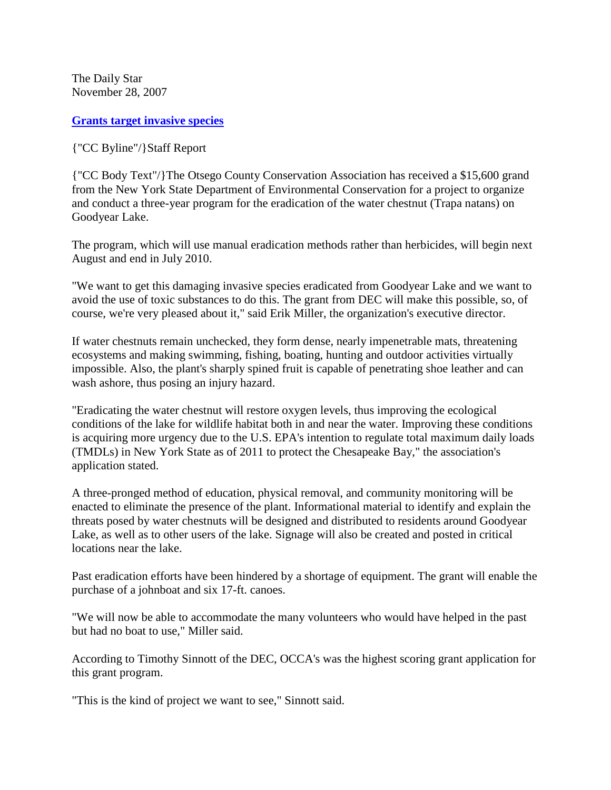The Daily Star November 28, 2007

**[Grants target invasive species](http://www.thedailystar.com/crier/x112889879/Grants-target-invasive-species)**

{"CC Byline"/}Staff Report

{"CC Body Text"/}The Otsego County Conservation Association has received a \$15,600 grand from the New York State Department of Environmental Conservation for a project to organize and conduct a three-year program for the eradication of the water chestnut (Trapa natans) on Goodyear Lake.

The program, which will use manual eradication methods rather than herbicides, will begin next August and end in July 2010.

"We want to get this damaging invasive species eradicated from Goodyear Lake and we want to avoid the use of toxic substances to do this. The grant from DEC will make this possible, so, of course, we're very pleased about it," said Erik Miller, the organization's executive director.

If water chestnuts remain unchecked, they form dense, nearly impenetrable mats, threatening ecosystems and making swimming, fishing, boating, hunting and outdoor activities virtually impossible. Also, the plant's sharply spined fruit is capable of penetrating shoe leather and can wash ashore, thus posing an injury hazard.

"Eradicating the water chestnut will restore oxygen levels, thus improving the ecological conditions of the lake for wildlife habitat both in and near the water. Improving these conditions is acquiring more urgency due to the U.S. EPA's intention to regulate total maximum daily loads (TMDLs) in New York State as of 2011 to protect the Chesapeake Bay," the association's application stated.

A three-pronged method of education, physical removal, and community monitoring will be enacted to eliminate the presence of the plant. Informational material to identify and explain the threats posed by water chestnuts will be designed and distributed to residents around Goodyear Lake, as well as to other users of the lake. Signage will also be created and posted in critical locations near the lake.

Past eradication efforts have been hindered by a shortage of equipment. The grant will enable the purchase of a johnboat and six 17-ft. canoes.

"We will now be able to accommodate the many volunteers who would have helped in the past but had no boat to use," Miller said.

According to Timothy Sinnott of the DEC, OCCA's was the highest scoring grant application for this grant program.

"This is the kind of project we want to see," Sinnott said.